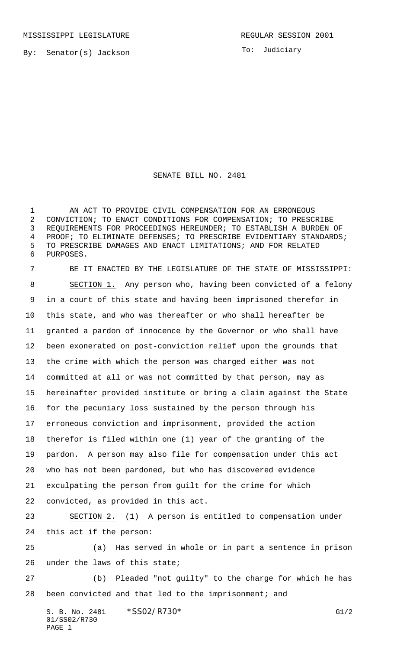By: Senator(s) Jackson

To: Judiciary

SENATE BILL NO. 2481

1 AN ACT TO PROVIDE CIVIL COMPENSATION FOR AN ERRONEOUS CONVICTION; TO ENACT CONDITIONS FOR COMPENSATION; TO PRESCRIBE REQUIREMENTS FOR PROCEEDINGS HEREUNDER; TO ESTABLISH A BURDEN OF PROOF; TO ELIMINATE DEFENSES; TO PRESCRIBE EVIDENTIARY STANDARDS; TO PRESCRIBE DAMAGES AND ENACT LIMITATIONS; AND FOR RELATED PURPOSES.

 BE IT ENACTED BY THE LEGISLATURE OF THE STATE OF MISSISSIPPI: SECTION 1. Any person who, having been convicted of a felony in a court of this state and having been imprisoned therefor in this state, and who was thereafter or who shall hereafter be granted a pardon of innocence by the Governor or who shall have been exonerated on post-conviction relief upon the grounds that the crime with which the person was charged either was not committed at all or was not committed by that person, may as hereinafter provided institute or bring a claim against the State for the pecuniary loss sustained by the person through his erroneous conviction and imprisonment, provided the action therefor is filed within one (1) year of the granting of the pardon. A person may also file for compensation under this act who has not been pardoned, but who has discovered evidence exculpating the person from guilt for the crime for which convicted, as provided in this act. SECTION 2. (1) A person is entitled to compensation under this act if the person: (a) Has served in whole or in part a sentence in prison

under the laws of this state;

 (b) Pleaded "not guilty" to the charge for which he has been convicted and that led to the imprisonment; and

S. B. No. 2481 \* SS02/R730\* G1/2 01/SS02/R730 PAGE 1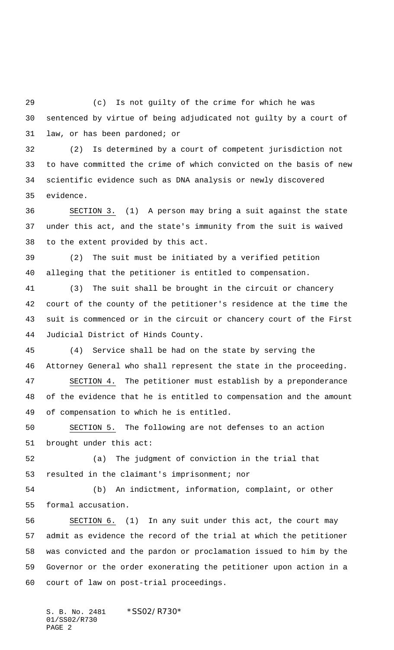(c) Is not guilty of the crime for which he was sentenced by virtue of being adjudicated not guilty by a court of law, or has been pardoned; or

 (2) Is determined by a court of competent jurisdiction not to have committed the crime of which convicted on the basis of new scientific evidence such as DNA analysis or newly discovered evidence.

 SECTION 3. (1) A person may bring a suit against the state under this act, and the state's immunity from the suit is waived to the extent provided by this act.

 (2) The suit must be initiated by a verified petition alleging that the petitioner is entitled to compensation.

 (3) The suit shall be brought in the circuit or chancery court of the county of the petitioner's residence at the time the suit is commenced or in the circuit or chancery court of the First Judicial District of Hinds County.

 (4) Service shall be had on the state by serving the Attorney General who shall represent the state in the proceeding.

 SECTION 4. The petitioner must establish by a preponderance of the evidence that he is entitled to compensation and the amount of compensation to which he is entitled.

 SECTION 5. The following are not defenses to an action brought under this act:

 (a) The judgment of conviction in the trial that resulted in the claimant's imprisonment; nor

 (b) An indictment, information, complaint, or other formal accusation.

 SECTION 6. (1) In any suit under this act, the court may admit as evidence the record of the trial at which the petitioner was convicted and the pardon or proclamation issued to him by the Governor or the order exonerating the petitioner upon action in a court of law on post-trial proceedings.

S. B. No. 2481 \*SS02/R730\* 01/SS02/R730 PAGE 2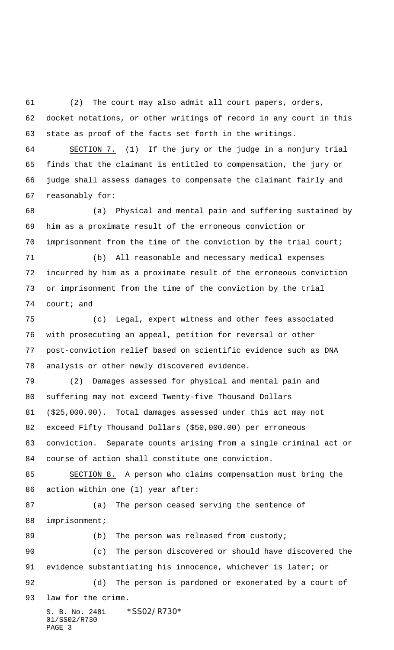(2) The court may also admit all court papers, orders, docket notations, or other writings of record in any court in this state as proof of the facts set forth in the writings.

 SECTION 7. (1) If the jury or the judge in a nonjury trial finds that the claimant is entitled to compensation, the jury or judge shall assess damages to compensate the claimant fairly and reasonably for:

 (a) Physical and mental pain and suffering sustained by him as a proximate result of the erroneous conviction or imprisonment from the time of the conviction by the trial court;

 (b) All reasonable and necessary medical expenses incurred by him as a proximate result of the erroneous conviction or imprisonment from the time of the conviction by the trial court; and

 (c) Legal, expert witness and other fees associated with prosecuting an appeal, petition for reversal or other post-conviction relief based on scientific evidence such as DNA analysis or other newly discovered evidence.

 (2) Damages assessed for physical and mental pain and suffering may not exceed Twenty-five Thousand Dollars (\$25,000.00). Total damages assessed under this act may not exceed Fifty Thousand Dollars (\$50,000.00) per erroneous conviction. Separate counts arising from a single criminal act or course of action shall constitute one conviction.

 SECTION 8. A person who claims compensation must bring the action within one (1) year after:

 (a) The person ceased serving the sentence of imprisonment;

89 (b) The person was released from custody; (c) The person discovered or should have discovered the 91 evidence substantiating his innocence, whichever is later; or (d) The person is pardoned or exonerated by a court of

law for the crime.

S. B. No. 2481 \* SS02/R730\* 01/SS02/R730 PAGE 3